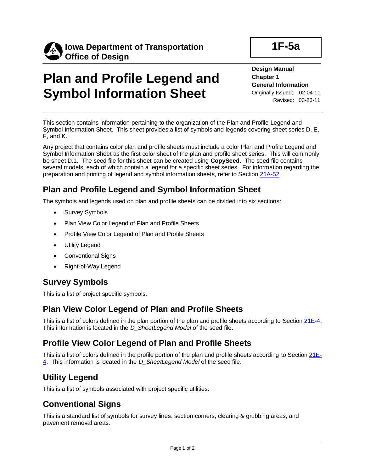

**Symbol Information Sheet**

# **Plan and Profile Legend and**

#### **Design Manual Chapter 1 General Information**

**1F-5a**

Originally Issued: 02-04-11 Revised: 03-23-11

This section contains information pertaining to the organization of the Plan and Profile Legend and

Symbol Information Sheet. This sheet provides a list of symbols and legends covering sheet series D, E, F, and K.

Any project that contains color plan and profile sheets must include a color Plan and Profile Legend and Symbol Information Sheet as the first color sheet of the plan and profile sheet series. This will commonly be sheet D.1. The seed file for this sheet can be created using **CopySeed**. The seed file contains several models, each of which contain a legend for a specific sheet series. For information regarding the preparation and printing of legend and symbol information sheets, refer to Section [21A-52.](21a-52.pdf)

### **Plan and Profile Legend and Symbol Information Sheet**

The symbols and legends used on plan and profile sheets can be divided into six sections:

- Survey Symbols
- Plan View Color Legend of Plan and Profile Sheets
- Profile View Color Legend of Plan and Profile Sheets
- Utility Legend
- Conventional Signs
- Right-of-Way Legend

#### **Survey Symbols**

This is a list of project specific symbols.

#### **Plan View Color Legend of Plan and Profile Sheets**

This is a list of colors defined in the plan portion of the plan and profile sheets according to Section [21E-4.](21e-04.pdf) This information is located in the *D\_SheetLegend Model* of the seed file.

#### **Profile View Color Legend of Plan and Profile Sheets**

This is a list of colors defined in the profile portion of the plan and profile sheets according to Section [21E-](21e-04.pdf)[4.](21e-04.pdf) This information is located in the *D\_SheetLegend Model* of the seed file.

#### **Utility Legend**

This is a list of symbols associated with project specific utilities.

#### **Conventional Signs**

This is a standard list of symbols for survey lines, section corners, clearing & grubbing areas, and pavement removal areas.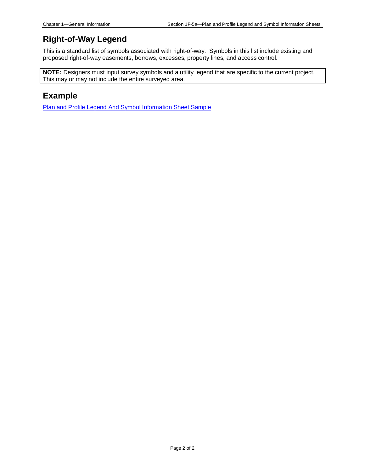#### **Right-of-Way Legend**

This is a standard list of symbols associated with right-of-way. Symbols in this list include existing and proposed right-of-way easements, borrows, excesses, property lines, and access control.

**NOTE:** Designers must input survey symbols and a utility legend that are specific to the current project. This may or may not include the entire surveyed area.

#### **Example**

Plan and Profile Legend And Symbol [Information](01f-05/PlanAndProfileLegendAndSymbolInforamtionSheetSample.pdf) Sheet Sample